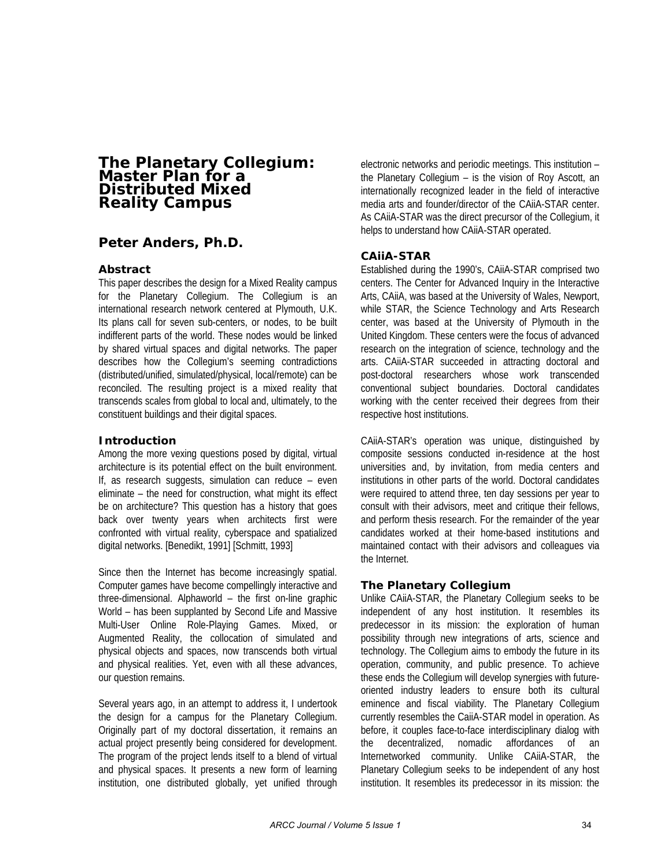# **The Planetary Collegium: Master Plan for a Distributed Mixed Reality Campus**

# **Peter Anders, Ph.D.**

## **Abstract**

This paper describes the design for a Mixed Reality campus for the Planetary Collegium. The Collegium is an international research network centered at Plymouth, U.K. Its plans call for seven sub-centers, or nodes, to be built indifferent parts of the world. These nodes would be linked by shared virtual spaces and digital networks. The paper describes how the Collegium's seeming contradictions (distributed/unified, simulated/physical, local/remote) can be reconciled. The resulting project is a mixed reality that transcends scales from global to local and, ultimately, to the constituent buildings and their digital spaces.

## **Introduction**

Among the more vexing questions posed by digital, virtual architecture is its potential effect on the built environment. If, as research suggests, simulation can reduce – even eliminate – the need for construction, what might its effect be on architecture? This question has a history that goes back over twenty years when architects first were confronted with virtual reality, cyberspace and spatialized digital networks. [Benedikt, 1991] [Schmitt, 1993]

Since then the Internet has become increasingly spatial. Computer games have become compellingly interactive and three-dimensional. Alphaworld – the first on-line graphic World – has been supplanted by Second Life and Massive Multi-User Online Role-Playing Games. Mixed, or Augmented Reality, the collocation of simulated and physical objects and spaces, now transcends both virtual and physical realities. Yet, even with all these advances, our question remains.

Several years ago, in an attempt to address it, I undertook the design for a campus for the Planetary Collegium. Originally part of my doctoral dissertation, it remains an actual project presently being considered for development. The program of the project lends itself to a blend of virtual and physical spaces. It presents a new form of learning institution, one distributed globally, yet unified through electronic networks and periodic meetings. This institution – the Planetary Collegium – is the vision of Roy Ascott, an internationally recognized leader in the field of interactive media arts and founder/director of the CAiiA-STAR center. As CAiiA-STAR was the direct precursor of the Collegium, it helps to understand how CAiiA-STAR operated.

## **CAiiA-STAR**

Established during the 1990's, CAiiA-STAR comprised two centers. The Center for Advanced Inquiry in the Interactive Arts, CAiiA, was based at the University of Wales, Newport, while STAR, the Science Technology and Arts Research center, was based at the University of Plymouth in the United Kingdom. These centers were the focus of advanced research on the integration of science, technology and the arts. CAiiA-STAR succeeded in attracting doctoral and post-doctoral researchers whose work transcended conventional subject boundaries. Doctoral candidates working with the center received their degrees from their respective host institutions.

CAiiA-STAR's operation was unique, distinguished by composite sessions conducted in-residence at the host universities and, by invitation, from media centers and institutions in other parts of the world. Doctoral candidates were required to attend three, ten day sessions per year to consult with their advisors, meet and critique their fellows, and perform thesis research. For the remainder of the year candidates worked at their home-based institutions and maintained contact with their advisors and colleagues via the Internet.

### **The Planetary Collegium**

Unlike CAiiA-STAR, the Planetary Collegium seeks to be independent of any host institution. It resembles its predecessor in its mission: the exploration of human possibility through new integrations of arts, science and technology. The Collegium aims to embody the future in its operation, community, and public presence. To achieve these ends the Collegium will develop synergies with futureoriented industry leaders to ensure both its cultural eminence and fiscal viability. The Planetary Collegium currently resembles the CaiiA-STAR model in operation. As before, it couples face-to-face interdisciplinary dialog with the decentralized, nomadic affordances of an Internetworked community. Unlike CAiiA-STAR, the Planetary Collegium seeks to be independent of any host institution. It resembles its predecessor in its mission: the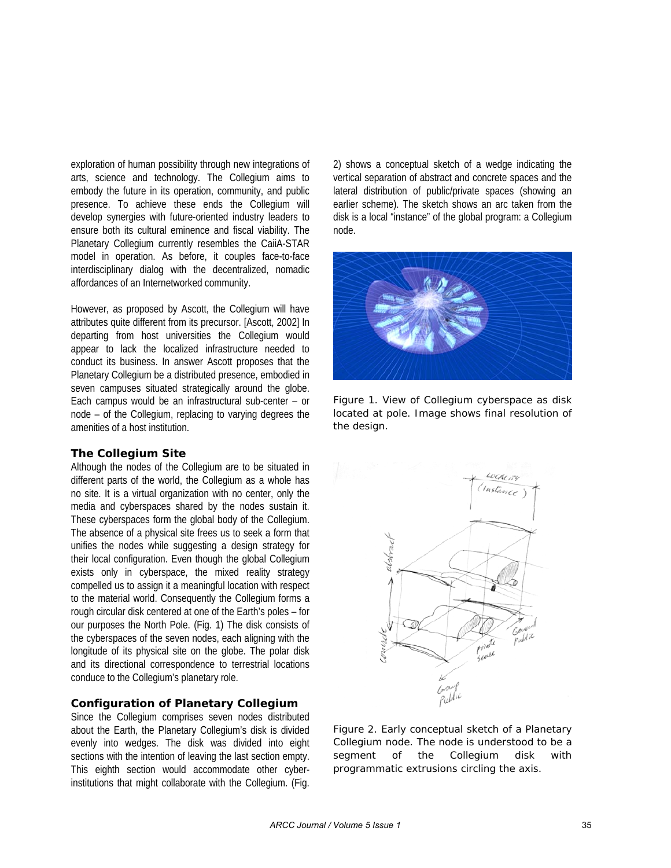exploration of human possibility through new integrations of arts, science and technology. The Collegium aims to embody the future in its operation, community, and public presence. To achieve these ends the Collegium will develop synergies with future-oriented industry leaders to ensure both its cultural eminence and fiscal viability. The Planetary Collegium currently resembles the CaiiA-STAR model in operation. As before, it couples face-to-face interdisciplinary dialog with the decentralized, nomadic affordances of an Internetworked community.

However, as proposed by Ascott, the Collegium will have attributes quite different from its precursor. [Ascott, 2002] In departing from host universities the Collegium would appear to lack the localized infrastructure needed to conduct its business. In answer Ascott proposes that the Planetary Collegium be a distributed presence, embodied in seven campuses situated strategically around the globe. Each campus would be an infrastructural sub-center – or node – of the Collegium, replacing to varying degrees the amenities of a host institution.

#### **The Collegium Site**

Although the nodes of the Collegium are to be situated in different parts of the world, the Collegium as a whole has no site. It is a virtual organization with no center, only the media and cyberspaces shared by the nodes sustain it. These cyberspaces form the global body of the Collegium. The absence of a physical site frees us to seek a form that unifies the nodes while suggesting a design strategy for their local configuration. Even though the global Collegium exists only in cyberspace, the mixed reality strategy compelled us to assign it a meaningful location with respect to the material world. Consequently the Collegium forms a rough circular disk centered at one of the Earth's poles – for our purposes the North Pole. (Fig. 1) The disk consists of the cyberspaces of the seven nodes, each aligning with the longitude of its physical site on the globe. The polar disk and its directional correspondence to terrestrial locations conduce to the Collegium's planetary role.

### **Configuration of Planetary Collegium**

Since the Collegium comprises seven nodes distributed about the Earth, the Planetary Collegium's disk is divided evenly into wedges. The disk was divided into eight sections with the intention of leaving the last section empty. This eighth section would accommodate other cyberinstitutions that might collaborate with the Collegium. (Fig.

2) shows a conceptual sketch of a wedge indicating the vertical separation of abstract and concrete spaces and the lateral distribution of public/private spaces (showing an earlier scheme). The sketch shows an arc taken from the disk is a local "instance" of the global program: a Collegium node.



*Figure 1. View of Collegium cyberspace as disk located at pole. Image shows final resolution of the design.* 



*Figure 2. Early conceptual sketch of a Planetary Collegium node. The node is understood to be a segment of the Collegium disk with programmatic extrusions circling the axis.*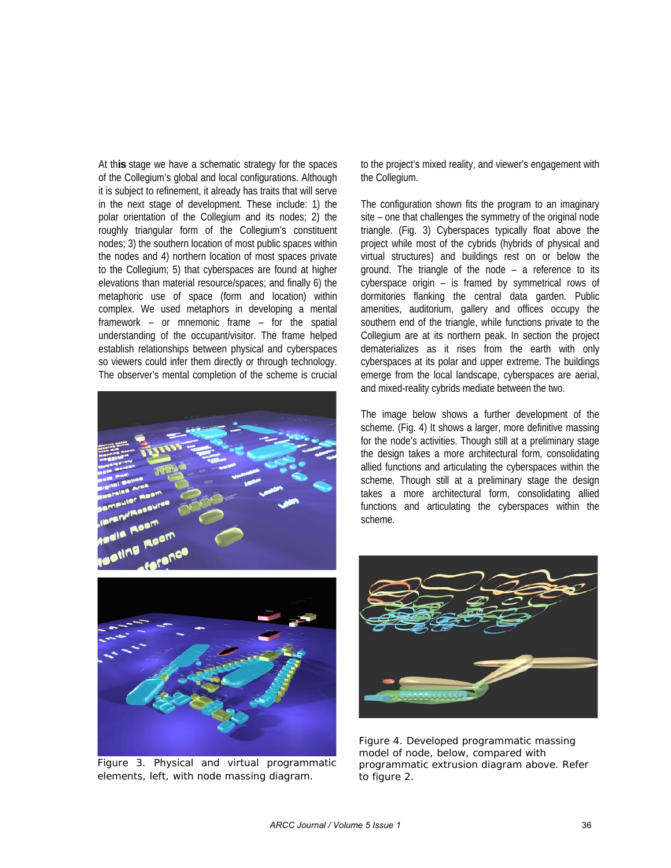At th**is** stage we have a schematic strategy for the spaces of the Collegium's global and local configurations. Although it is subject to refinement, it already has traits that will serve in the next stage of development. These include: 1) the polar orientation of the Collegium and its nodes; 2) the roughly triangular form of the Collegium's constituent nodes; 3) the southern location of most public spaces within the nodes and 4) northern location of most spaces private to the Collegium; 5) that cyberspaces are found at higher elevations than material resource/spaces; and finally 6) the metaphoric use of space (form and location) within complex. We used metaphors in developing a mental framework – or mnemonic frame – for the spatial understanding of the occupant/visitor. The frame helped establish relationships between physical and cyberspaces so viewers could infer them directly or through technology. The observer's mental completion of the scheme is crucial





*Figure 3. Physical and virtual programmatic elements, left, with node massing diagram.* 

to the project's mixed reality, and viewer's engagement with the Collegium.

The configuration shown fits the program to an imaginary site – one that challenges the symmetry of the original node triangle. (Fig. 3) Cyberspaces typically float above the project while most of the cybrids (hybrids of physical and virtual structures) and buildings rest on or below the ground. The triangle of the node – a reference to its cyberspace origin – is framed by symmetrical rows of dormitories flanking the central data garden. Public amenities, auditorium, gallery and offices occupy the southern end of the triangle, while functions private to the Collegium are at its northern peak. In section the project dematerializes as it rises from the earth with only cyberspaces at its polar and upper extreme. The buildings emerge from the local landscape, cyberspaces are aerial, and mixed-reality cybrids mediate between the two.

The image below shows a further development of the scheme. (Fig. 4) It shows a larger, more definitive massing for the node's activities. Though still at a preliminary stage the design takes a more architectural form, consolidating allied functions and articulating the cyberspaces within the scheme. Though still at a preliminary stage the design takes a more architectural form, consolidating allied functions and articulating the cyberspaces within the scheme.



*Figure 4. Developed programmatic massing model of node, below, compared with programmatic extrusion diagram above. Refer to figure 2.*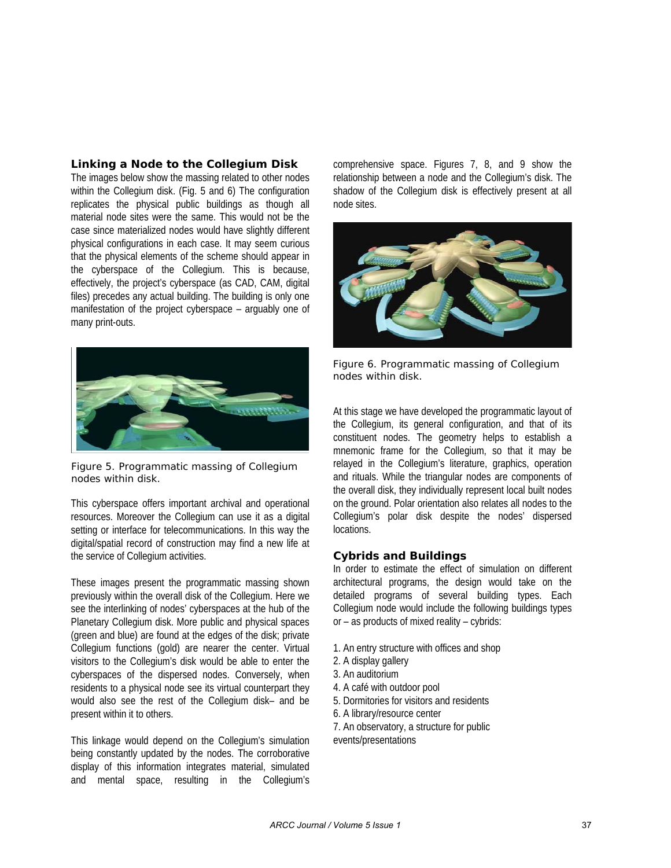### **Linking a Node to the Collegium Disk**

The images below show the massing related to other nodes within the Collegium disk. (Fig. 5 and 6) The configuration replicates the physical public buildings as though all material node sites were the same. This would not be the case since materialized nodes would have slightly different physical configurations in each case. It may seem curious that the physical elements of the scheme should appear in the cyberspace of the Collegium. This is because, effectively, the project's cyberspace (as CAD, CAM, digital files) precedes any actual building. The building is only one manifestation of the project cyberspace – arguably one of many print-outs.



*Figure 5. Programmatic massing of Collegium nodes within disk.* 

This cyberspace offers important archival and operational resources. Moreover the Collegium can use it as a digital setting or interface for telecommunications. In this way the digital/spatial record of construction may find a new life at the service of Collegium activities.

These images present the programmatic massing shown previously within the overall disk of the Collegium. Here we see the interlinking of nodes' cyberspaces at the hub of the Planetary Collegium disk. More public and physical spaces (green and blue) are found at the edges of the disk; private Collegium functions (gold) are nearer the center. Virtual visitors to the Collegium's disk would be able to enter the cyberspaces of the dispersed nodes. Conversely, when residents to a physical node see its virtual counterpart they would also see the rest of the Collegium disk– and be present within it to others.

This linkage would depend on the Collegium's simulation being constantly updated by the nodes. The corroborative display of this information integrates material, simulated and mental space, resulting in the Collegium's

comprehensive space. Figures 7, 8, and 9 show the relationship between a node and the Collegium's disk. The shadow of the Collegium disk is effectively present at all node sites.



*Figure 6. Programmatic massing of Collegium nodes within disk.* 

At this stage we have developed the programmatic layout of the Collegium, its general configuration, and that of its constituent nodes. The geometry helps to establish a mnemonic frame for the Collegium, so that it may be relayed in the Collegium's literature, graphics, operation and rituals. While the triangular nodes are components of the overall disk, they individually represent local built nodes on the ground. Polar orientation also relates all nodes to the Collegium's polar disk despite the nodes' dispersed locations.

### **Cybrids and Buildings**

In order to estimate the effect of simulation on different architectural programs, the design would take on the detailed programs of several building types. Each Collegium node would include the following buildings types or – as products of mixed reality – cybrids:

- 1. An entry structure with offices and shop
- 2. A display gallery
- 3. An auditorium
- 4. A café with outdoor pool
- 5. Dormitories for visitors and residents
- 6. A library/resource center
- 7. An observatory, a structure for public events/presentations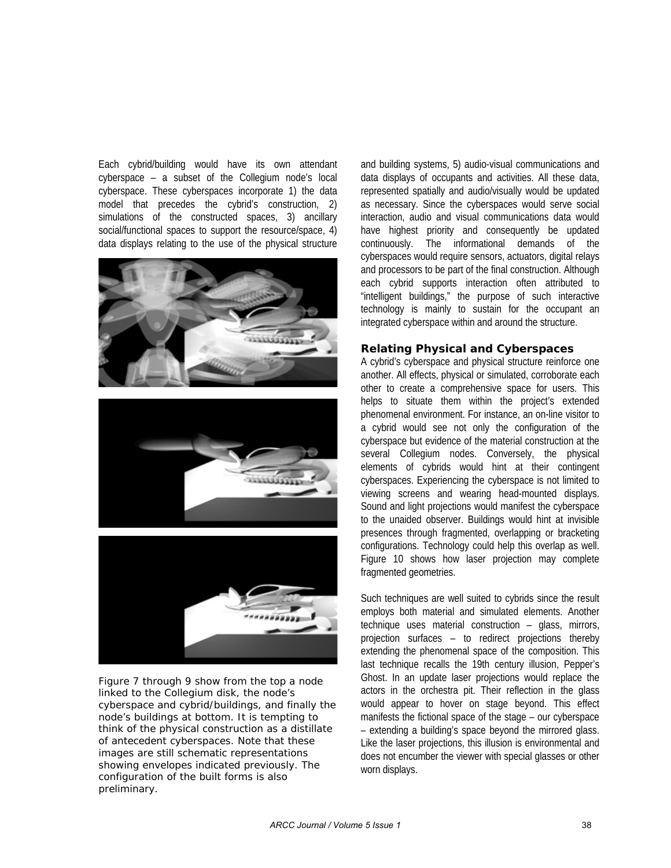Each cybrid/building would have its own attendant cyberspace – a subset of the Collegium node's local cyberspace. These cyberspaces incorporate 1) the data model that precedes the cybrid's construction, 2) simulations of the constructed spaces, 3) ancillary social/functional spaces to support the resource/space, 4) data displays relating to the use of the physical structure







*Figure 7 through 9 show from the top a node linked to the Collegium disk, the node's cyberspace and cybrid/buildings, and finally the node's buildings at bottom. It is tempting to think of the physical construction as a distillate of antecedent cyberspaces. Note that these images are still schematic representations showing envelopes indicated previously. The configuration of the built forms is also preliminary.* 

and building systems, 5) audio-visual communications and data displays of occupants and activities. All these data, represented spatially and audio/visually would be updated as necessary. Since the cyberspaces would serve social interaction, audio and visual communications data would have highest priority and consequently be updated continuously. The informational demands of the cyberspaces would require sensors, actuators, digital relays and processors to be part of the final construction. Although each cybrid supports interaction often attributed to "intelligent buildings," the purpose of such interactive technology is mainly to sustain for the occupant an integrated cyberspace within and around the structure.

## **Relating Physical and Cyberspaces**

A cybrid's cyberspace and physical structure reinforce one another. All effects, physical or simulated, corroborate each other to create a comprehensive space for users. This helps to situate them within the project's extended phenomenal environment. For instance, an on-line visitor to a cybrid would see not only the configuration of the cyberspace but evidence of the material construction at the several Collegium nodes. Conversely, the physical elements of cybrids would hint at their contingent cyberspaces. Experiencing the cyberspace is not limited to viewing screens and wearing head-mounted displays. Sound and light projections would manifest the cyberspace to the unaided observer. Buildings would hint at invisible presences through fragmented, overlapping or bracketing configurations. Technology could help this overlap as well. Figure 10 shows how laser projection may complete fragmented geometries.

Such techniques are well suited to cybrids since the result employs both material and simulated elements. Another technique uses material construction – glass, mirrors, projection surfaces – to redirect projections thereby extending the phenomenal space of the composition. This last technique recalls the 19th century illusion, Pepper's Ghost. In an update laser projections would replace the actors in the orchestra pit. Their reflection in the glass would appear to hover on stage beyond. This effect manifests the fictional space of the stage – our cyberspace – extending a building's space beyond the mirrored glass. Like the laser projections, this illusion is environmental and does not encumber the viewer with special glasses or other worn displays.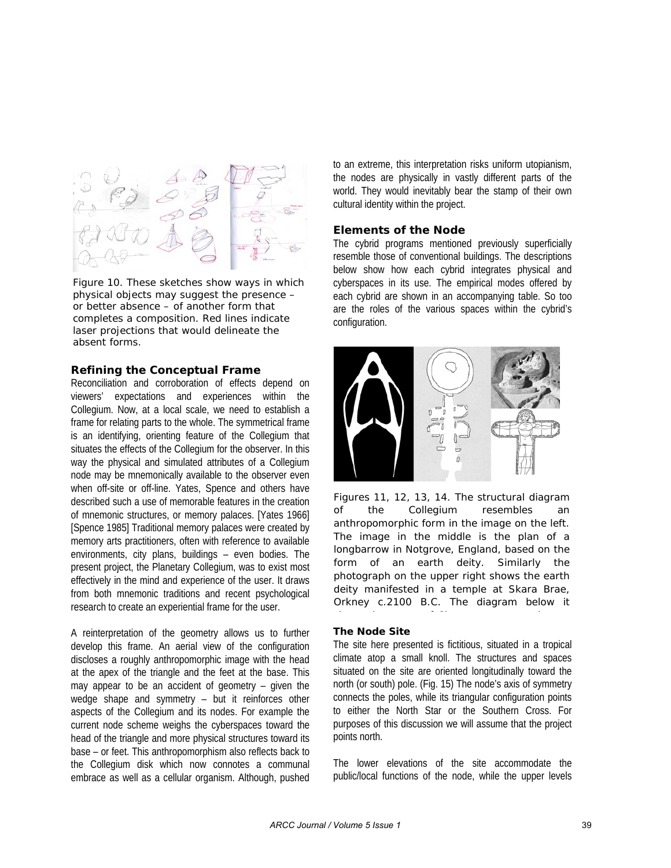

*Figure 10. These sketches show ways in which physical objects may suggest the presence – or better absence – of another form that completes a composition. Red lines indicate laser projections that would delineate the absent forms.* 

#### **Refining the Conceptual Frame**

Reconciliation and corroboration of effects depend on viewers' expectations and experiences within the Collegium. Now, at a local scale, we need to establish a frame for relating parts to the whole. The symmetrical frame is an identifying, orienting feature of the Collegium that situates the effects of the Collegium for the observer. In this way the physical and simulated attributes of a Collegium node may be mnemonically available to the observer even when off-site or off-line. Yates, Spence and others have described such a use of memorable features in the creation of mnemonic structures, or memory palaces. [Yates 1966] [Spence 1985] Traditional memory palaces were created by memory arts practitioners, often with reference to available environments, city plans, buildings – even bodies. The present project, the Planetary Collegium, was to exist most effectively in the mind and experience of the user. It draws from both mnemonic traditions and recent psychological research to create an experiential frame for the user.

A reinterpretation of the geometry allows us to further develop this frame. An aerial view of the configuration discloses a roughly anthropomorphic image with the head at the apex of the triangle and the feet at the base. This may appear to be an accident of geometry – given the wedge shape and symmetry – but it reinforces other aspects of the Collegium and its nodes. For example the current node scheme weighs the cyberspaces toward the head of the triangle and more physical structures toward its base – or feet. This anthropomorphism also reflects back to the Collegium disk which now connotes a communal embrace as well as a cellular organism. Although, pushed

to an extreme, this interpretation risks uniform utopianism, the nodes are physically in vastly different parts of the world. They would inevitably bear the stamp of their own cultural identity within the project.

#### **Elements of the Node**

The cybrid programs mentioned previously superficially resemble those of conventional buildings. The descriptions below show how each cybrid integrates physical and cyberspaces in its use. The empirical modes offered by each cybrid are shown in an accompanying table. So too are the roles of the various spaces within the cybrid's configuration.



*Figures 11, 12, 13, 14. The structural diagram of the Collegium resembles an anthropomorphic form in the image on the left. The image in the middle is the plan of a longbarrow in Notgrove, England, based on the form of an earth deity. Similarly the photograph on the upper right shows the earth deity manifested in a temple at Skara Brae, Orkney c.2100 B.C. The diagram below it h h f Ch d*

#### *The Node Site*

The site here presented is fictitious, situated in a tropical climate atop a small knoll. The structures and spaces situated on the site are oriented longitudinally toward the north (or south) pole. (Fig. 15) The node's axis of symmetry connects the poles, while its triangular configuration points to either the North Star or the Southern Cross. For purposes of this discussion we will assume that the project points north.

The lower elevations of the site accommodate the public/local functions of the node, while the upper levels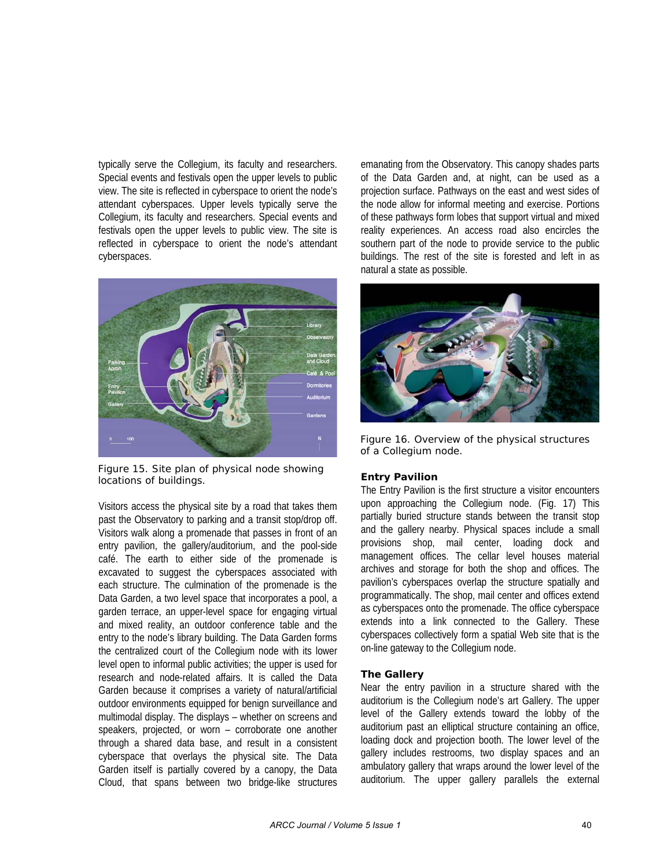typically serve the Collegium, its faculty and researchers. Special events and festivals open the upper levels to public view. The site is reflected in cyberspace to orient the node's attendant cyberspaces. Upper levels typically serve the Collegium, its faculty and researchers. Special events and festivals open the upper levels to public view. The site is reflected in cyberspace to orient the node's attendant cyberspaces.



*Figure 15. Site plan of physical node showing locations of buildings.* 

Visitors access the physical site by a road that takes them past the Observatory to parking and a transit stop/drop off. Visitors walk along a promenade that passes in front of an entry pavilion, the gallery/auditorium, and the pool-side café. The earth to either side of the promenade is excavated to suggest the cyberspaces associated with each structure. The culmination of the promenade is the Data Garden, a two level space that incorporates a pool, a garden terrace, an upper-level space for engaging virtual and mixed reality, an outdoor conference table and the entry to the node's library building. The Data Garden forms the centralized court of the Collegium node with its lower level open to informal public activities; the upper is used for research and node-related affairs. It is called the Data Garden because it comprises a variety of natural/artificial outdoor environments equipped for benign surveillance and multimodal display. The displays – whether on screens and speakers, projected, or worn – corroborate one another through a shared data base, and result in a consistent cyberspace that overlays the physical site. The Data Garden itself is partially covered by a canopy, the Data Cloud, that spans between two bridge-like structures

emanating from the Observatory. This canopy shades parts of the Data Garden and, at night, can be used as a projection surface. Pathways on the east and west sides of the node allow for informal meeting and exercise. Portions of these pathways form lobes that support virtual and mixed reality experiences. An access road also encircles the southern part of the node to provide service to the public buildings. The rest of the site is forested and left in as natural a state as possible.



*Figure 16. Overview of the physical structures of a Collegium node.* 

### *Entry Pavilion*

The Entry Pavilion is the first structure a visitor encounters upon approaching the Collegium node. (Fig. 17) This partially buried structure stands between the transit stop and the gallery nearby. Physical spaces include a small provisions shop, mail center, loading dock and management offices. The cellar level houses material archives and storage for both the shop and offices. The pavilion's cyberspaces overlap the structure spatially and programmatically. The shop, mail center and offices extend as cyberspaces onto the promenade. The office cyberspace extends into a link connected to the Gallery. These cyberspaces collectively form a spatial Web site that is the on-line gateway to the Collegium node.

### *The Gallery*

Near the entry pavilion in a structure shared with the auditorium is the Collegium node's art Gallery. The upper level of the Gallery extends toward the lobby of the auditorium past an elliptical structure containing an office, loading dock and projection booth. The lower level of the gallery includes restrooms, two display spaces and an ambulatory gallery that wraps around the lower level of the auditorium. The upper gallery parallels the external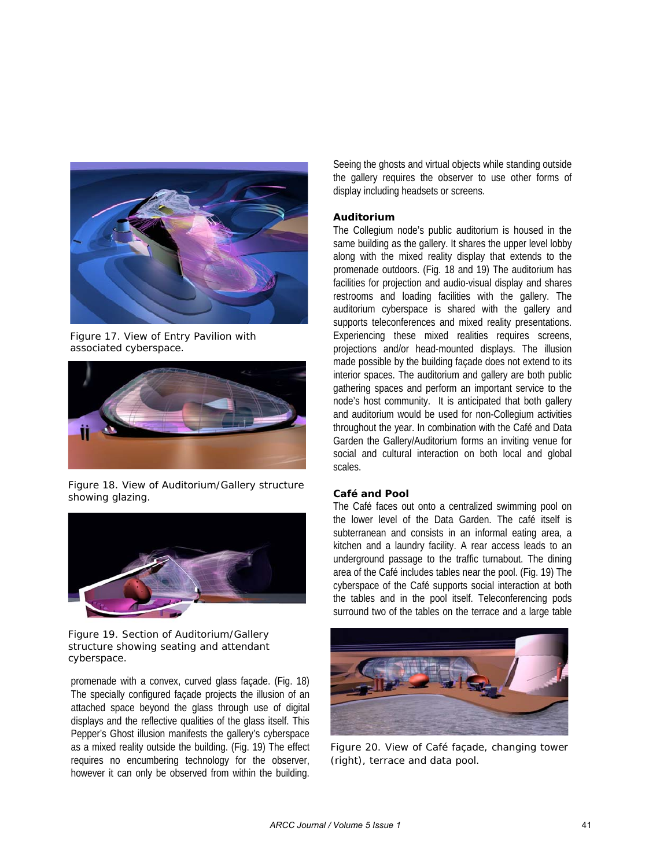

*Figure 17. View of Entry Pavilion with associated cyberspace.* 



*Figure 18. View of Auditorium/Gallery structure showing glazing.* 



*Figure 19. Section of Auditorium/Gallery structure showing seating and attendant cyberspace.* 

promenade with a convex, curved glass façade. (Fig. 18) The specially configured façade projects the illusion of an attached space beyond the glass through use of digital displays and the reflective qualities of the glass itself. This Pepper's Ghost illusion manifests the gallery's cyberspace as a mixed reality outside the building. (Fig. 19) The effect requires no encumbering technology for the observer, however it can only be observed from within the building.

Seeing the ghosts and virtual objects while standing outside the gallery requires the observer to use other forms of display including headsets or screens.

### *Auditorium*

The Collegium node's public auditorium is housed in the same building as the gallery. It shares the upper level lobby along with the mixed reality display that extends to the promenade outdoors. (Fig. 18 and 19) The auditorium has facilities for projection and audio-visual display and shares restrooms and loading facilities with the gallery. The auditorium cyberspace is shared with the gallery and supports teleconferences and mixed reality presentations. Experiencing these mixed realities requires screens, projections and/or head-mounted displays. The illusion made possible by the building façade does not extend to its interior spaces. The auditorium and gallery are both public gathering spaces and perform an important service to the node's host community. It is anticipated that both gallery and auditorium would be used for non-Collegium activities throughout the year. In combination with the Café and Data Garden the Gallery/Auditorium forms an inviting venue for social and cultural interaction on both local and global scales.

#### *Café and Pool*

The Café faces out onto a centralized swimming pool on the lower level of the Data Garden. The café itself is subterranean and consists in an informal eating area, a kitchen and a laundry facility. A rear access leads to an underground passage to the traffic turnabout. The dining area of the Café includes tables near the pool. (Fig. 19) The cyberspace of the Café supports social interaction at both the tables and in the pool itself. Teleconferencing pods surround two of the tables on the terrace and a large table



*Figure 20. View of Café façade, changing tower (right), terrace and data pool.*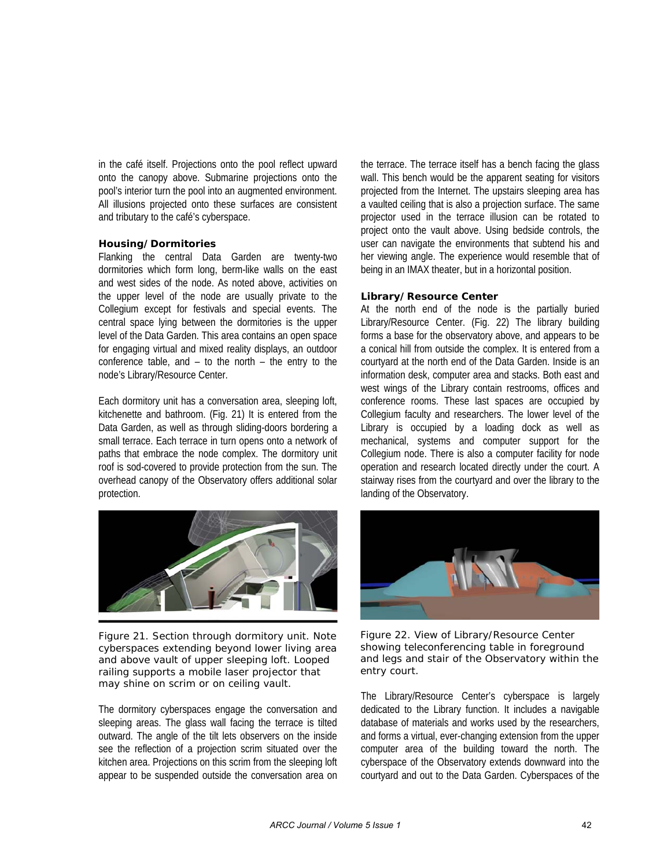in the café itself. Projections onto the pool reflect upward onto the canopy above. Submarine projections onto the pool's interior turn the pool into an augmented environment. All illusions projected onto these surfaces are consistent and tributary to the café's cyberspace.

#### *Housing/Dormitories*

Flanking the central Data Garden are twenty-two dormitories which form long, berm-like walls on the east and west sides of the node. As noted above, activities on the upper level of the node are usually private to the Collegium except for festivals and special events. The central space lying between the dormitories is the upper level of the Data Garden. This area contains an open space for engaging virtual and mixed reality displays, an outdoor conference table, and  $-$  to the north  $-$  the entry to the node's Library/Resource Center.

Each dormitory unit has a conversation area, sleeping loft, kitchenette and bathroom. (Fig. 21) It is entered from the Data Garden, as well as through sliding-doors bordering a small terrace. Each terrace in turn opens onto a network of paths that embrace the node complex. The dormitory unit roof is sod-covered to provide protection from the sun. The overhead canopy of the Observatory offers additional solar protection.



*Figure 21. Section through dormitory unit. Note cyberspaces extending beyond lower living area and above vault of upper sleeping loft. Looped railing supports a mobile laser projector that may shine on scrim or on ceiling vault.* 

The dormitory cyberspaces engage the conversation and sleeping areas. The glass wall facing the terrace is tilted outward. The angle of the tilt lets observers on the inside see the reflection of a projection scrim situated over the kitchen area. Projections on this scrim from the sleeping loft appear to be suspended outside the conversation area on the terrace. The terrace itself has a bench facing the glass wall. This bench would be the apparent seating for visitors projected from the Internet. The upstairs sleeping area has a vaulted ceiling that is also a projection surface. The same projector used in the terrace illusion can be rotated to project onto the vault above. Using bedside controls, the user can navigate the environments that subtend his and her viewing angle. The experience would resemble that of being in an IMAX theater, but in a horizontal position.

### *Library/Resource Center*

At the north end of the node is the partially buried Library/Resource Center. (Fig. 22) The library building forms a base for the observatory above, and appears to be a conical hill from outside the complex. It is entered from a courtyard at the north end of the Data Garden. Inside is an information desk, computer area and stacks. Both east and west wings of the Library contain restrooms, offices and conference rooms. These last spaces are occupied by Collegium faculty and researchers. The lower level of the Library is occupied by a loading dock as well as mechanical, systems and computer support for the Collegium node. There is also a computer facility for node operation and research located directly under the court. A stairway rises from the courtyard and over the library to the landing of the Observatory.



*Figure 22. View of Library/Resource Center showing teleconferencing table in foreground and legs and stair of the Observatory within the entry court.* 

The Library/Resource Center's cyberspace is largely dedicated to the Library function. It includes a navigable database of materials and works used by the researchers, and forms a virtual, ever-changing extension from the upper computer area of the building toward the north. The cyberspace of the Observatory extends downward into the courtyard and out to the Data Garden. Cyberspaces of the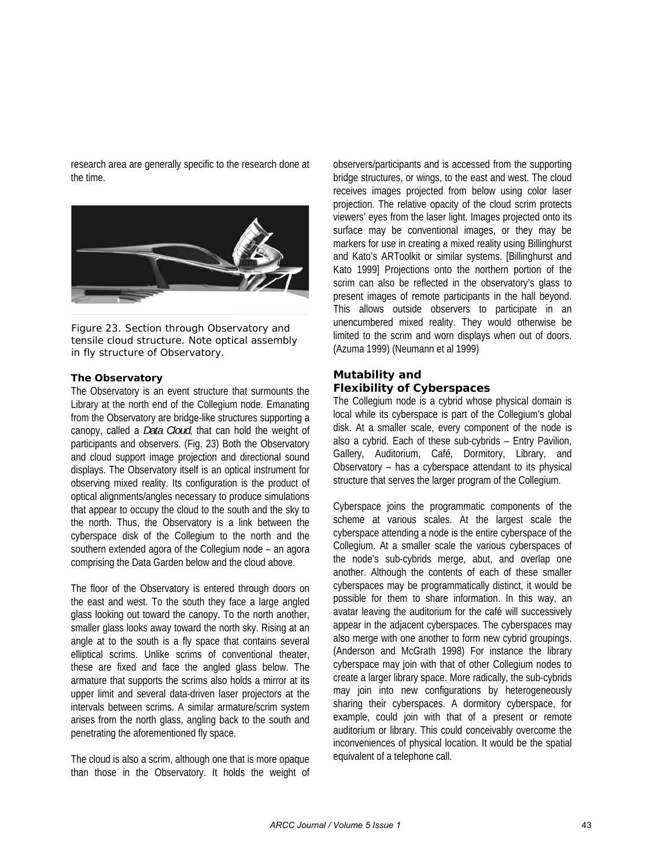research area are generally specific to the research done at the time.



*Figure 23. Section through Observatory and tensile cloud structure. Note optical assembly in fly structure of Observatory.* 

#### *The Observatory*

The Observatory is an event structure that surmounts the Library at the north end of the Collegium node. Emanating from the Observatory are bridge-like structures supporting a canopy, called a *Data Cloud*, that can hold the weight of participants and observers. (Fig. 23) Both the Observatory and cloud support image projection and directional sound displays. The Observatory itself is an optical instrument for observing mixed reality. Its configuration is the product of optical alignments/angles necessary to produce simulations that appear to occupy the cloud to the south and the sky to the north. Thus, the Observatory is a link between the cyberspace disk of the Collegium to the north and the southern extended agora of the Collegium node – an agora comprising the Data Garden below and the cloud above.

The floor of the Observatory is entered through doors on the east and west. To the south they face a large angled glass looking out toward the canopy. To the north another, smaller glass looks away toward the north sky. Rising at an angle at to the south is a fly space that contains several elliptical scrims. Unlike scrims of conventional theater, these are fixed and face the angled glass below. The armature that supports the scrims also holds a mirror at its upper limit and several data-driven laser projectors at the intervals between scrims. A similar armature/scrim system arises from the north glass, angling back to the south and penetrating the aforementioned fly space.

The cloud is also a scrim, although one that is more opaque than those in the Observatory. It holds the weight of observers/participants and is accessed from the supporting bridge structures, or wings, to the east and west. The cloud receives images projected from below using color laser projection. The relative opacity of the cloud scrim protects viewers' eyes from the laser light. Images projected onto its surface may be conventional images, or they may be markers for use in creating a mixed reality using Billinghurst and Kato's ARToolkit or similar systems. [Billinghurst and Kato 1999] Projections onto the northern portion of the scrim can also be reflected in the observatory's glass to present images of remote participants in the hall beyond. This allows outside observers to participate in an unencumbered mixed reality. They would otherwise be limited to the scrim and worn displays when out of doors. (Azuma 1999) (Neumann et al 1999)

## **Mutability and Flexibility of Cyberspaces**

The Collegium node is a cybrid whose physical domain is local while its cyberspace is part of the Collegium's global disk. At a smaller scale, every component of the node is also a cybrid. Each of these sub-cybrids – Entry Pavilion, Gallery, Auditorium, Café, Dormitory, Library, and Observatory – has a cyberspace attendant to its physical structure that serves the larger program of the Collegium.

Cyberspace joins the programmatic components of the scheme at various scales. At the largest scale the cyberspace attending a node is the entire cyberspace of the Collegium. At a smaller scale the various cyberspaces of the node's sub-cybrids merge, abut, and overlap one another. Although the contents of each of these smaller cyberspaces may be programmatically distinct, it would be possible for them to share information. In this way, an avatar leaving the auditorium for the café will successively appear in the adjacent cyberspaces. The cyberspaces may also merge with one another to form new cybrid groupings. (Anderson and McGrath 1998) For instance the library cyberspace may join with that of other Collegium nodes to create a larger library space. More radically, the sub-cybrids may join into new configurations by heterogeneously sharing their cyberspaces. A dormitory cyberspace, for example, could join with that of a present or remote auditorium or library. This could conceivably overcome the inconveniences of physical location. It would be the spatial equivalent of a telephone call.